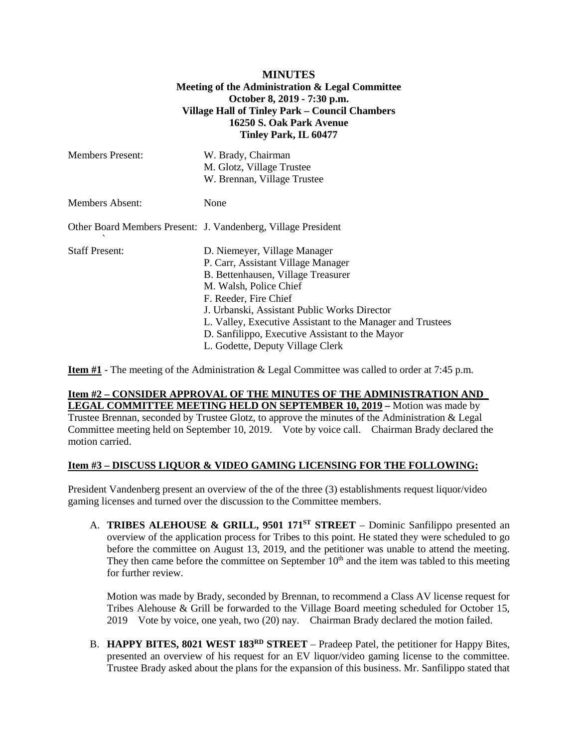## **MINUTES Meeting of the Administration & Legal Committee October 8, 2019 - 7:30 p.m. Village Hall of Tinley Park – Council Chambers 16250 S. Oak Park Avenue Tinley Park, IL 60477**

| <b>Members Present:</b> | W. Brady, Chairman<br>M. Glotz, Village Trustee<br>W. Brennan, Village Trustee |
|-------------------------|--------------------------------------------------------------------------------|
| <b>Members Absent:</b>  | None                                                                           |
|                         | Other Board Members Present: J. Vandenberg, Village President                  |
| <b>Staff Present:</b>   | D. Niemeyer, Village Manager                                                   |
|                         | P. Carr, Assistant Village Manager                                             |
|                         | B. Bettenhausen, Village Treasurer                                             |
|                         | M. Walsh, Police Chief                                                         |
|                         | F. Reeder, Fire Chief                                                          |
|                         | J. Urbanski, Assistant Public Works Director                                   |
|                         | L. Valley, Executive Assistant to the Manager and Trustees                     |
|                         | D. Sanfilippo, Executive Assistant to the Mayor                                |
|                         | L. Godette, Deputy Village Clerk                                               |

**Item #1** - The meeting of the Administration & Legal Committee was called to order at 7:45 p.m.

### **Item #2 – CONSIDER APPROVAL OF THE MINUTES OF THE ADMINISTRATION AND LEGAL COMMITTEE MEETING HELD ON SEPTEMBER 10, 2019 –** Motion was made by

Trustee Brennan, seconded by Trustee Glotz, to approve the minutes of the Administration & Legal Committee meeting held on September 10, 2019. Vote by voice call. Chairman Brady declared the motion carried.

### **Item #3 – DISCUSS LIQUOR & VIDEO GAMING LICENSING FOR THE FOLLOWING:**

President Vandenberg present an overview of the of the three (3) establishments request liquor/video gaming licenses and turned over the discussion to the Committee members.

A. **TRIBES ALEHOUSE & GRILL, 9501 171ST STREET** – Dominic Sanfilippo presented an overview of the application process for Tribes to this point. He stated they were scheduled to go before the committee on August 13, 2019, and the petitioner was unable to attend the meeting. They then came before the committee on September  $10<sup>th</sup>$  and the item was tabled to this meeting for further review.

Motion was made by Brady, seconded by Brennan, to recommend a Class AV license request for Tribes Alehouse & Grill be forwarded to the Village Board meeting scheduled for October 15, 2019 Vote by voice, one yeah, two (20) nay. Chairman Brady declared the motion failed.

B. **HAPPY BITES, 8021 WEST 183RD STREET** – Pradeep Patel, the petitioner for Happy Bites, presented an overview of his request for an EV liquor/video gaming license to the committee. Trustee Brady asked about the plans for the expansion of this business. Mr. Sanfilippo stated that